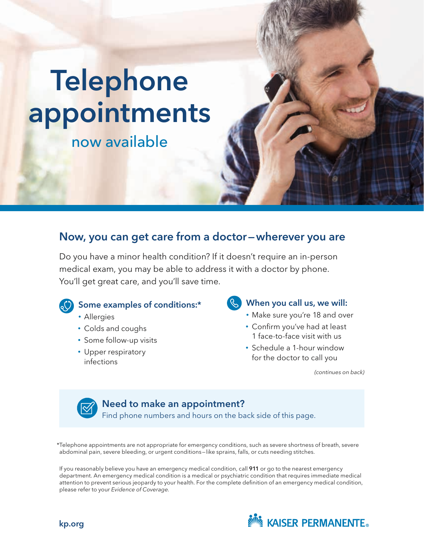# Telephone appointments

# now available

# Now, you can get care from a doctor—wherever you are

Do you have a minor health condition? If it doesn't require an in-person medical exam, you may be able to address it with a doctor by phone. You'll get great care, and you'll save time.



# Some examples of conditions:\*

- Allergies
- Colds and coughs
- Some follow-up visits
- Upper respiratory infections

### **S** When you call us, we will:

- Make sure you're 18 and over
- Confirm you've had at least 1 face-to-face visit with us
- Schedule a 1-hour window for the doctor to call you

*(continues on back)*



# Need to make an appointment?

Find phone numbers and hours on the back side of this page.

\*Telephone appointments are not appropriate for emergency conditions, such as severe shortness of breath, severe abdominal pain, severe bleeding, or urgent conditions—like sprains, falls, or cuts needing stitches.

If you reasonably believe you have an emergency medical condition, call 911 or go to the nearest emergency department. An emergency medical condition is a medical or psychiatric condition that requires immediate medical attention to prevent serious jeopardy to your health. For the complete definition of an emergency medical condition, please refer to your *Evidence of Coverage.*